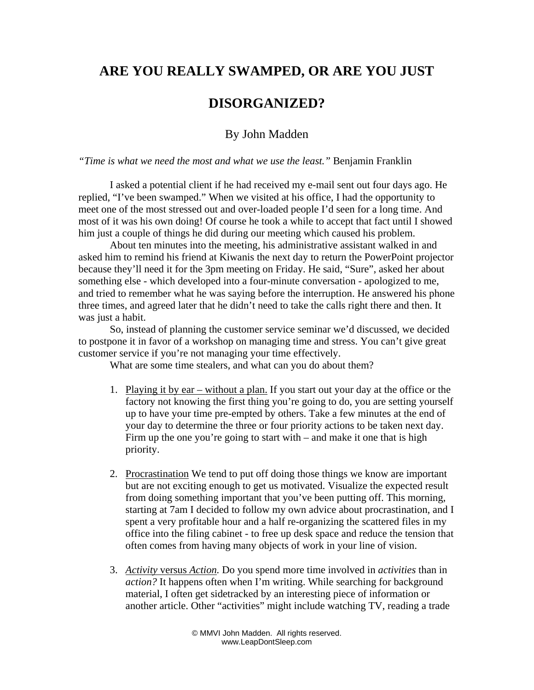## **ARE YOU REALLY SWAMPED, OR ARE YOU JUST**

## **DISORGANIZED?**

## By John Madden

*"Time is what we need the most and what we use the least."* Benjamin Franklin

I asked a potential client if he had received my e-mail sent out four days ago. He replied, "I've been swamped." When we visited at his office, I had the opportunity to meet one of the most stressed out and over-loaded people I'd seen for a long time. And most of it was his own doing! Of course he took a while to accept that fact until I showed him just a couple of things he did during our meeting which caused his problem.

About ten minutes into the meeting, his administrative assistant walked in and asked him to remind his friend at Kiwanis the next day to return the PowerPoint projector because they'll need it for the 3pm meeting on Friday. He said, "Sure", asked her about something else - which developed into a four-minute conversation - apologized to me, and tried to remember what he was saying before the interruption. He answered his phone three times, and agreed later that he didn't need to take the calls right there and then. It was just a habit.

So, instead of planning the customer service seminar we'd discussed, we decided to postpone it in favor of a workshop on managing time and stress. You can't give great customer service if you're not managing your time effectively.

What are some time stealers, and what can you do about them?

- 1. Playing it by ear without a plan. If you start out your day at the office or the factory not knowing the first thing you're going to do, you are setting yourself up to have your time pre-empted by others. Take a few minutes at the end of your day to determine the three or four priority actions to be taken next day. Firm up the one you're going to start with – and make it one that is high priority.
- 2. Procrastination We tend to put off doing those things we know are important but are not exciting enough to get us motivated. Visualize the expected result from doing something important that you've been putting off. This morning, starting at 7am I decided to follow my own advice about procrastination, and I spent a very profitable hour and a half re-organizing the scattered files in my office into the filing cabinet - to free up desk space and reduce the tension that often comes from having many objects of work in your line of vision.
- 3. *Activity* versus *Action.* Do you spend more time involved in *activities* than in *action?* It happens often when I'm writing. While searching for background material, I often get sidetracked by an interesting piece of information or another article. Other "activities" might include watching TV, reading a trade